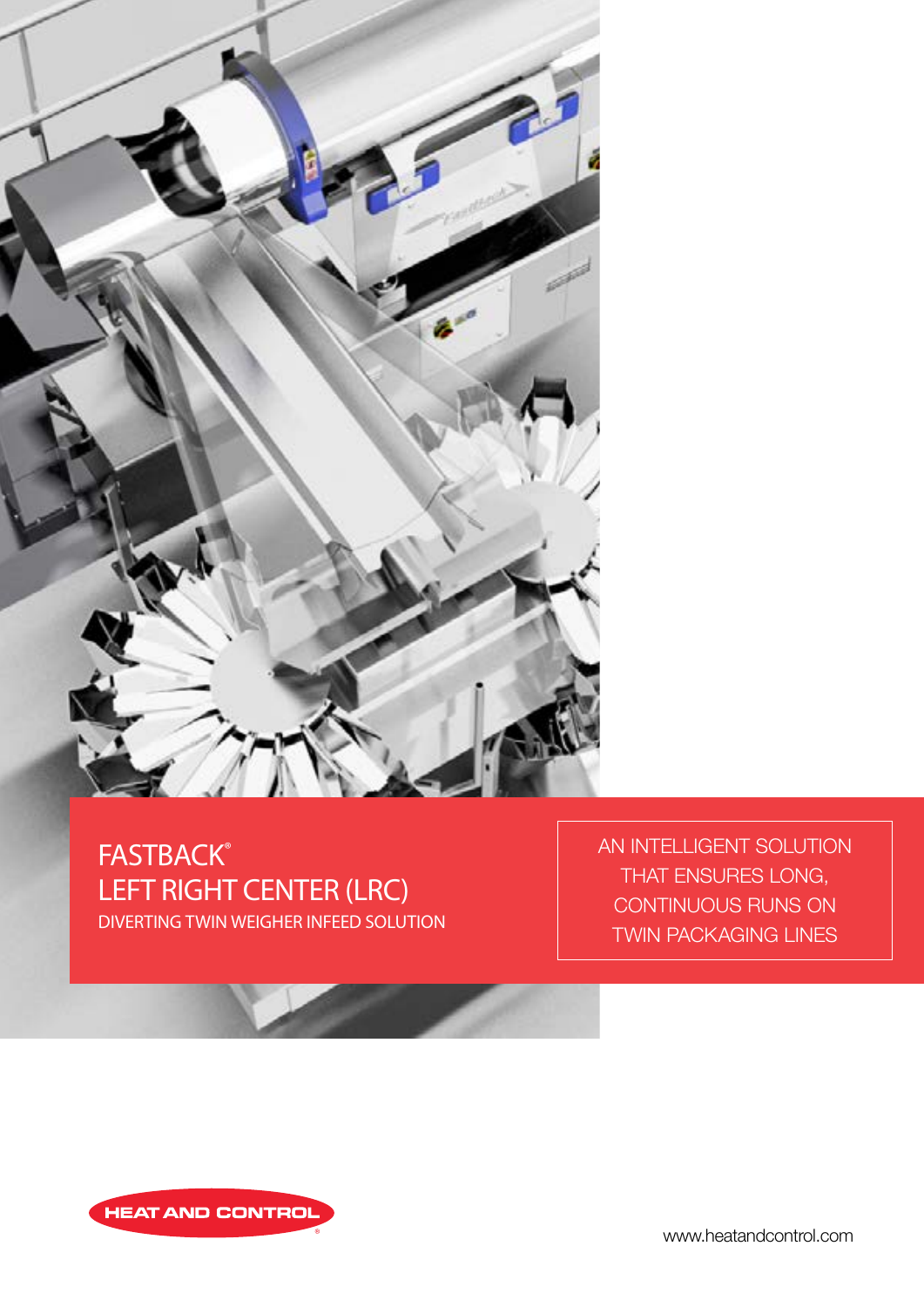

# **FASTBACK®** LEFT RIGHT CENTER (LRC) DIVERTING TWIN WEIGHER INFEED SOLUTION

AN INTELLIGENT SOLUTION THAT ENSURES LONG, CONTINUOUS RUNS ON TWIN PACKAGING LINES



www.heatandcontrol.com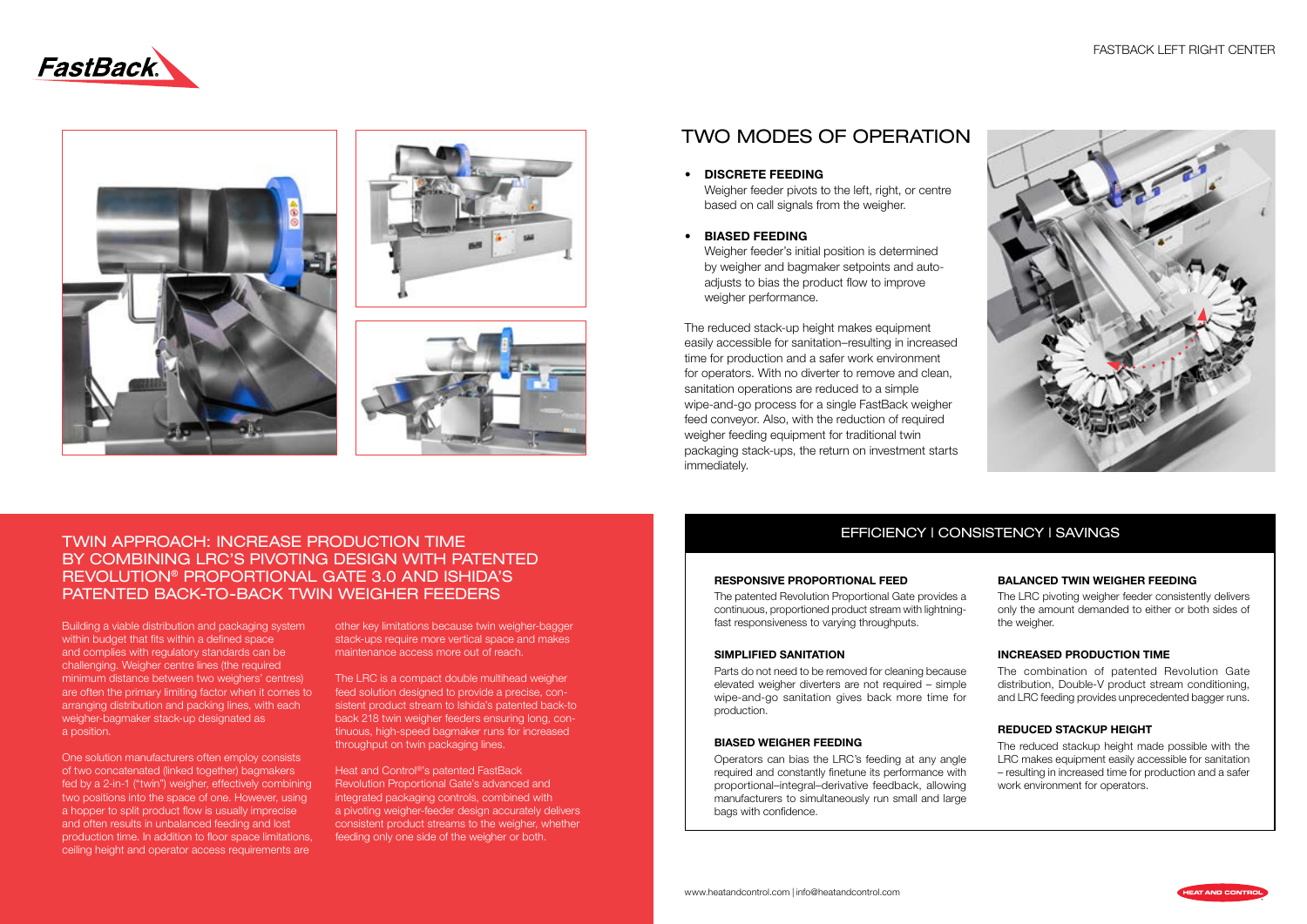# FASTBACK LEFT RIGHT CENTER











# TWO MODES OF OPERATION

Weigher feeder pivots to the left, right, or centre based on call signals from the weigher.

#### • DISCRETE FEEDING

• BIASED FEEDING

Weigher feeder's initial position is determined by weigher and bagmaker setpoints and autoadjusts to bias the product flow to improve weigher performance.

The reduced stack-up height makes equipment easily accessible for sanitation–resulting in increased time for production and a safer work environment for operators. With no diverter to remove and clean, sanitation operations are reduced to a simple wipe-and-go process for a single FastBack weigher feed conveyor. Also, with the reduction of required weigher feeding equipment for traditional twin packaging stack-ups, the return on investment starts immediately.

> The LRC pivoting weigher feeder consistently delivers only the amount demanded to either or both sides of the weigher.

# EFFICIENCY | CONSISTENCY | SAVINGS

#### RESPONSIVE PROPORTIONAL FEED

The patented Revolution Proportional Gate provides a continuous, proportioned product stream with lightningfast responsiveness to varying throughputs.

#### SIMPLIFIED SANITATION

Parts do not need to be removed for cleaning because elevated weigher diverters are not required – simple wipe-and-go sanitation gives back more time for production.

#### BIASED WEIGHER FEEDING

Operators can bias the LRC's feeding at any angle required and constantly finetune its performance with proportional–integral–derivative feedback, allowing manufacturers to simultaneously run small and large bags with confidence.

## BALANCED TWIN WEIGHER FEEDING

## INCREASED PRODUCTION TIME

The combination of patented Revolution Gate distribution, Double-V product stream conditioning, and LRC feeding provides unprecedented bagger runs.

## REDUCED STACKUP HEIGHT

The reduced stackup height made possible with the LRC makes equipment easily accessible for sanitation – resulting in increased time for production and a safer work environment for operators.

Building a viable distribution and packaging system within budget that fits within a defined space and complies with regulatory standards can be challenging. Weigher centre lines (the required minimum distance between two weighers' centres) are often the primary limiting factor when it comes to arranging distribution and packing lines, with each weigher-bagmaker stack-up designated as a position.

One solution manufacturers often employ consists of two concatenated (linked together) bagmakers fed by a 2-in-1 ("twin") weigher, effectively combining two positions into the space of one. However, using a hopper to split product flow is usually imprecise and often results in unbalanced feeding and lost production time. In addition to floor space limitations, ceiling height and operator access requirements are

# TWIN APPROACH: INCREASE PRODUCTION TIME BY COMBINING LRC'S PIVOTING DESIGN WITH PATENTED REVOLUTION® PROPORTIONAL GATE 3.0 AND ISHIDA'S PATENTED BACK-TO-BACK TWIN WEIGHER FEEDERS

other key limitations because twin weigher-bagger stack-ups require more vertical space and makes maintenance access more out of reach.

The LRC is a compact double multihead weigher feed solution designed to provide a precise, consistent product stream to Ishida's patented back-to back 218 twin weigher feeders ensuring long, continuous, high-speed bagmaker runs for increased throughput on twin packaging lines.

Heat and Control®'s patented FastBack Revolution Proportional Gate's advanced and integrated packaging controls, combined with a pivoting weigher-feeder design accurately delivers consistent product streams to the weigher, whether feeding only one side of the weigher or both.